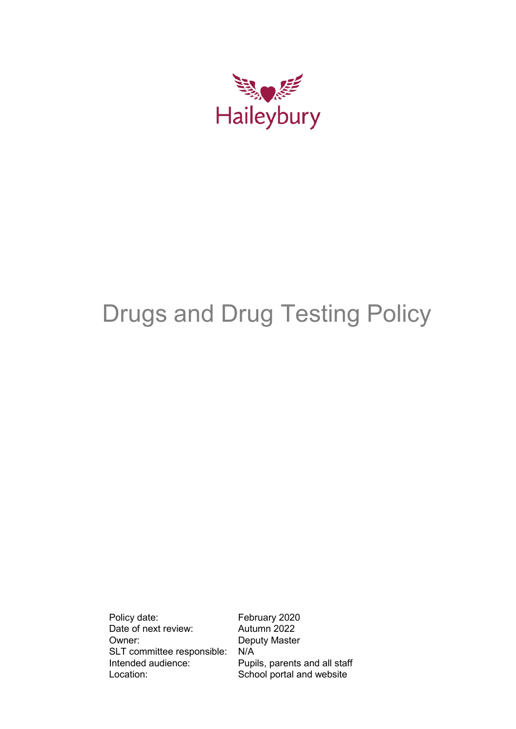

# Drugs and Drug Testing Policy

Policy date: February 2020 Date of next review: Autumn 2022<br>
Owner: Deputy Maste SLT committee responsible: N/A<br>Intended audience: Pupi Location: School portal and website

Deputy Master Pupils, parents and all staff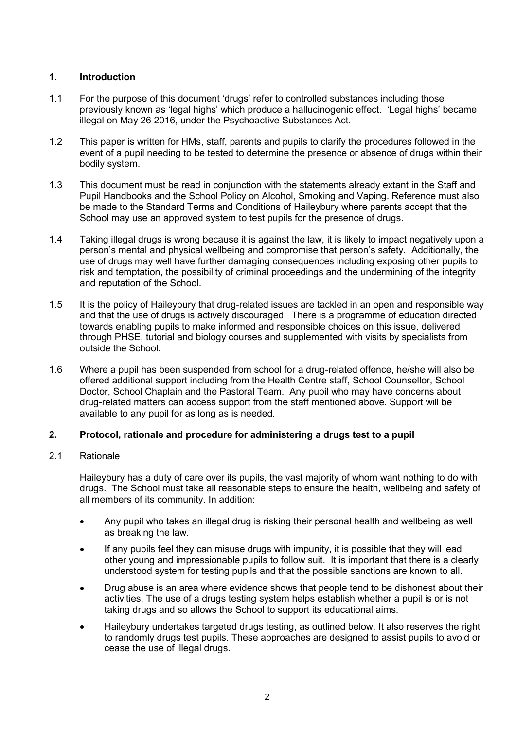# **1. Introduction**

- 1.1 For the purpose of this document 'drugs' refer to controlled substances including those previously known as 'legal highs' which produce a hallucinogenic effect. 'Legal highs' became illegal on May 26 2016, under the Psychoactive Substances Act.
- 1.2 This paper is written for HMs, staff, parents and pupils to clarify the procedures followed in the event of a pupil needing to be tested to determine the presence or absence of drugs within their bodily system.
- 1.3 This document must be read in conjunction with the statements already extant in the Staff and Pupil Handbooks and the School Policy on Alcohol, Smoking and Vaping. Reference must also be made to the Standard Terms and Conditions of Haileybury where parents accept that the School may use an approved system to test pupils for the presence of drugs.
- 1.4 Taking illegal drugs is wrong because it is against the law, it is likely to impact negatively upon a person's mental and physical wellbeing and compromise that person's safety. Additionally, the use of drugs may well have further damaging consequences including exposing other pupils to risk and temptation, the possibility of criminal proceedings and the undermining of the integrity and reputation of the School.
- 1.5 It is the policy of Haileybury that drug-related issues are tackled in an open and responsible way and that the use of drugs is actively discouraged. There is a programme of education directed towards enabling pupils to make informed and responsible choices on this issue, delivered through PHSE, tutorial and biology courses and supplemented with visits by specialists from outside the School.
- 1.6 Where a pupil has been suspended from school for a drug-related offence, he/she will also be offered additional support including from the Health Centre staff, School Counsellor, School Doctor, School Chaplain and the Pastoral Team. Any pupil who may have concerns about drug-related matters can access support from the staff mentioned above. Support will be available to any pupil for as long as is needed.

# **2. Protocol, rationale and procedure for administering a drugs test to a pupil**

# 2.1 Rationale

Haileybury has a duty of care over its pupils, the vast majority of whom want nothing to do with drugs. The School must take all reasonable steps to ensure the health, wellbeing and safety of all members of its community. In addition:

- Any pupil who takes an illegal drug is risking their personal health and wellbeing as well as breaking the law.
- If any pupils feel they can misuse drugs with impunity, it is possible that they will lead other young and impressionable pupils to follow suit. It is important that there is a clearly understood system for testing pupils and that the possible sanctions are known to all.
- Drug abuse is an area where evidence shows that people tend to be dishonest about their activities. The use of a drugs testing system helps establish whether a pupil is or is not taking drugs and so allows the School to support its educational aims.
- Haileybury undertakes targeted drugs testing, as outlined below. It also reserves the right to randomly drugs test pupils. These approaches are designed to assist pupils to avoid or cease the use of illegal drugs.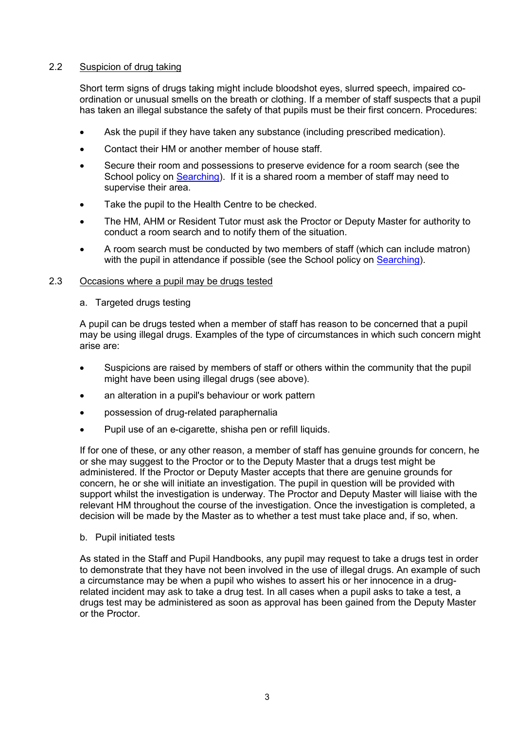# 2.2 Suspicion of drug taking

Short term signs of drugs taking might include bloodshot eyes, slurred speech, impaired coordination or unusual smells on the breath or clothing. If a member of staff suspects that a pupil has taken an illegal substance the safety of that pupils must be their first concern. Procedures:

- Ask the pupil if they have taken any substance (including prescribed medication).
- Contact their HM or another member of house staff.
- Secure their room and possessions to preserve evidence for a room search (see the School policy on [Searching\)](https://www.haileybury.com/policies-publications/). If it is a shared room a member of staff may need to supervise their area.
- Take the pupil to the Health Centre to be checked.
- The HM, AHM or Resident Tutor must ask the Proctor or Deputy Master for authority to conduct a room search and to notify them of the situation.
- A room search must be conducted by two members of staff (which can include matron) with the pupil in attendance if possible (see the School policy on [Searching\)](https://www.haileybury.com/policies-publications/).

# 2.3 Occasions where a pupil may be drugs tested

a. Targeted drugs testing

A pupil can be drugs tested when a member of staff has reason to be concerned that a pupil may be using illegal drugs. Examples of the type of circumstances in which such concern might arise are:

- Suspicions are raised by members of staff or others within the community that the pupil might have been using illegal drugs (see above).
- an alteration in a pupil's behaviour or work pattern
- possession of drug-related paraphernalia
- Pupil use of an e-cigarette, shisha pen or refill liquids.

If for one of these, or any other reason, a member of staff has genuine grounds for concern, he or she may suggest to the Proctor or to the Deputy Master that a drugs test might be administered. If the Proctor or Deputy Master accepts that there are genuine grounds for concern, he or she will initiate an investigation. The pupil in question will be provided with support whilst the investigation is underway. The Proctor and Deputy Master will liaise with the relevant HM throughout the course of the investigation. Once the investigation is completed, a decision will be made by the Master as to whether a test must take place and, if so, when.

# b. Pupil initiated tests

As stated in the Staff and Pupil Handbooks, any pupil may request to take a drugs test in order to demonstrate that they have not been involved in the use of illegal drugs. An example of such a circumstance may be when a pupil who wishes to assert his or her innocence in a drugrelated incident may ask to take a drug test. In all cases when a pupil asks to take a test, a drugs test may be administered as soon as approval has been gained from the Deputy Master or the Proctor.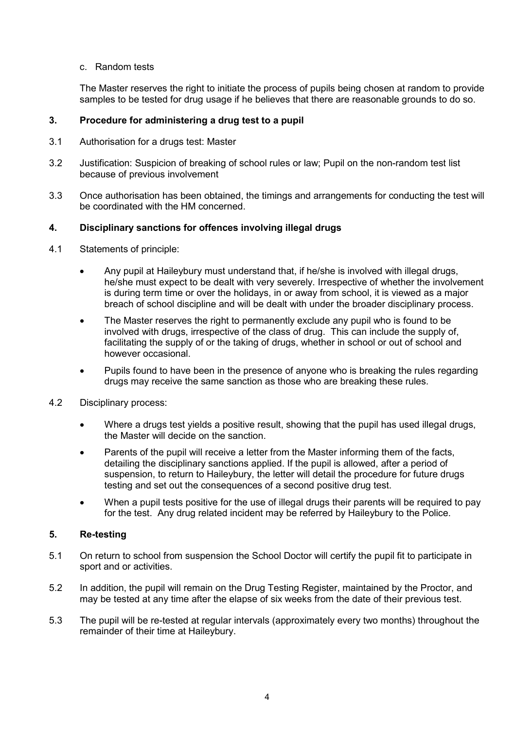# c. Random tests

The Master reserves the right to initiate the process of pupils being chosen at random to provide samples to be tested for drug usage if he believes that there are reasonable grounds to do so.

# **3. Procedure for administering a drug test to a pupil**

- 3.1 Authorisation for a drugs test: Master
- 3.2 Justification: Suspicion of breaking of school rules or law; Pupil on the non-random test list because of previous involvement
- 3.3 Once authorisation has been obtained, the timings and arrangements for conducting the test will be coordinated with the HM concerned.

# **4. Disciplinary sanctions for offences involving illegal drugs**

- 4.1 Statements of principle:
	- Any pupil at Haileybury must understand that, if he/she is involved with illegal drugs, he/she must expect to be dealt with very severely. Irrespective of whether the involvement is during term time or over the holidays, in or away from school, it is viewed as a major breach of school discipline and will be dealt with under the broader disciplinary process.
	- The Master reserves the right to permanently exclude any pupil who is found to be involved with drugs, irrespective of the class of drug. This can include the supply of, facilitating the supply of or the taking of drugs, whether in school or out of school and however occasional.
	- Pupils found to have been in the presence of anyone who is breaking the rules regarding drugs may receive the same sanction as those who are breaking these rules.
- 4.2 Disciplinary process:
	- Where a drugs test yields a positive result, showing that the pupil has used illegal drugs, the Master will decide on the sanction.
	- Parents of the pupil will receive a letter from the Master informing them of the facts, detailing the disciplinary sanctions applied. If the pupil is allowed, after a period of suspension, to return to Haileybury, the letter will detail the procedure for future drugs testing and set out the consequences of a second positive drug test.
	- When a pupil tests positive for the use of illegal drugs their parents will be required to pay for the test. Any drug related incident may be referred by Haileybury to the Police.

# **5. Re-testing**

- 5.1 On return to school from suspension the School Doctor will certify the pupil fit to participate in sport and or activities.
- 5.2 In addition, the pupil will remain on the Drug Testing Register, maintained by the Proctor, and may be tested at any time after the elapse of six weeks from the date of their previous test.
- 5.3 The pupil will be re-tested at regular intervals (approximately every two months) throughout the remainder of their time at Haileybury.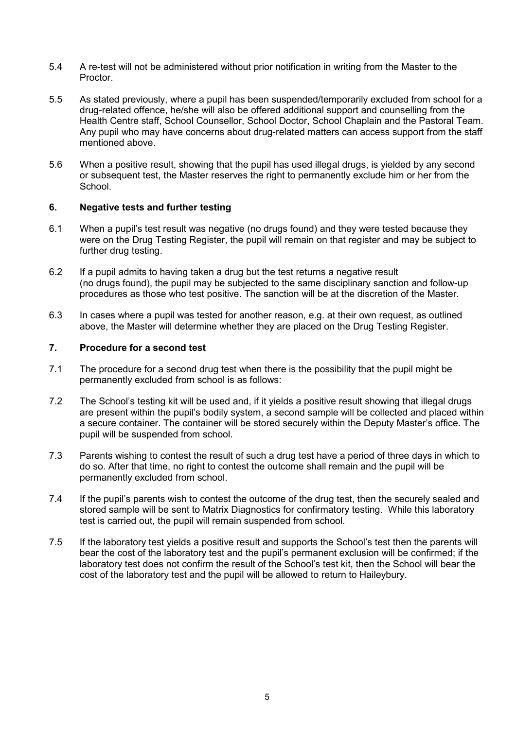- 5.4 A re-test will not be administered without prior notification in writing from the Master to the Proctor.
- 5.5 As stated previously, where a pupil has been suspended/temporarily excluded from school for a drug-related offence, he/she will also be offered additional support and counselling from the Health Centre staff, School Counsellor, School Doctor, School Chaplain and the Pastoral Team. Any pupil who may have concerns about drug-related matters can access support from the staff mentioned above.
- 5.6 When a positive result, showing that the pupil has used illegal drugs, is yielded by any second or subsequent test, the Master reserves the right to permanently exclude him or her from the **School**

# **6. Negative tests and further testing**

- 6.1 When a pupil's test result was negative (no drugs found) and they were tested because they were on the Drug Testing Register, the pupil will remain on that register and may be subject to further drug testing.
- 6.2 If a pupil admits to having taken a drug but the test returns a negative result (no drugs found), the pupil may be subjected to the same disciplinary sanction and follow-up procedures as those who test positive. The sanction will be at the discretion of the Master.
- 6.3 In cases where a pupil was tested for another reason, e.g. at their own request, as outlined above, the Master will determine whether they are placed on the Drug Testing Register.

#### **7. Procedure for a second test**

- 7.1 The procedure for a second drug test when there is the possibility that the pupil might be permanently excluded from school is as follows:
- 7.2 The School's testing kit will be used and, if it yields a positive result showing that illegal drugs are present within the pupil's bodily system, a second sample will be collected and placed within a secure container. The container will be stored securely within the Deputy Master's office. The pupil will be suspended from school.
- 7.3 Parents wishing to contest the result of such a drug test have a period of three days in which to do so. After that time, no right to contest the outcome shall remain and the pupil will be permanently excluded from school.
- 7.4 If the pupil's parents wish to contest the outcome of the drug test, then the securely sealed and stored sample will be sent to Matrix Diagnostics for confirmatory testing. While this laboratory test is carried out, the pupil will remain suspended from school.
- 7.5 If the laboratory test yields a positive result and supports the School's test then the parents will bear the cost of the laboratory test and the pupil's permanent exclusion will be confirmed; if the laboratory test does not confirm the result of the School's test kit, then the School will bear the cost of the laboratory test and the pupil will be allowed to return to Haileybury.